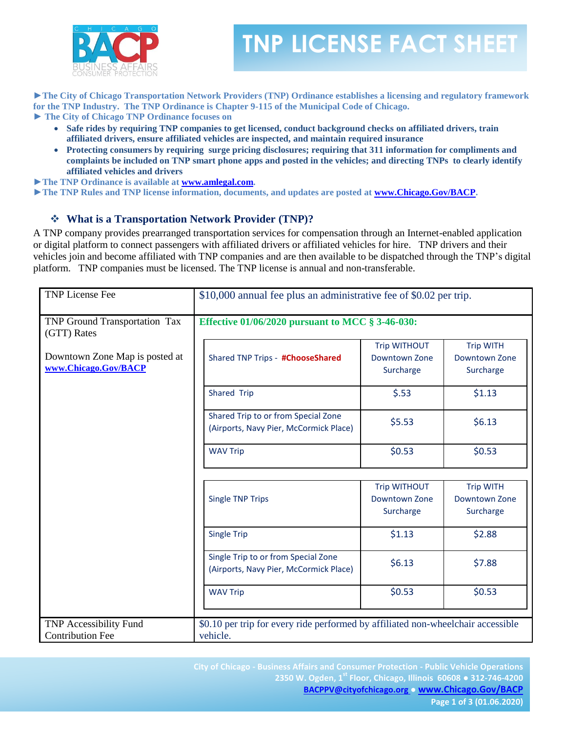

## **TNP LICENSE FACT SHEET**

**►The City of Chicago Transportation Network Providers (TNP) Ordinance establishes a licensing and regulatory framework for the TNP Industry. The TNP Ordinance is Chapter 9-115 of the Municipal Code of Chicago.** 

**► The City of Chicago TNP Ordinance focuses on**

- **Safe rides by requiring TNP companies to get licensed, conduct background checks on affiliated drivers, train affiliated drivers, ensure affiliated vehicles are inspected, and maintain required insurance**
- **Protecting consumers by requiring surge pricing disclosures; requiring that 311 information for compliments and complaints be included on TNP smart phone apps and posted in the vehicles; and directing TNPs to clearly identify affiliated vehicles and drivers**

**►The TNP Ordinance is available at [www.amlegal.com.](http://www.amlegal.com/)**

**►The TNP Rules and TNP license information, documents, and updates are posted at [www.Chicago.Gov/BACP.](http://www.chicago.gov/BACP)** 

### **What is a Transportation Network Provider (TNP)?**

A TNP company provides prearranged transportation services for compensation through an Internet-enabled application or digital platform to connect passengers with affiliated drivers or affiliated vehicles for hire. TNP drivers and their vehicles join and become affiliated with TNP companies and are then available to be dispatched through the TNP's digital platform. TNP companies must be licensed. The TNP license is annual and non-transferable.

| <b>TNP License Fee</b>                                   | \$10,000 annual fee plus an administrative fee of \$0.02 per trip.                           |                                                   |                                                |
|----------------------------------------------------------|----------------------------------------------------------------------------------------------|---------------------------------------------------|------------------------------------------------|
| TNP Ground Transportation Tax<br>(GTT) Rates             | Effective 01/06/2020 pursuant to MCC § 3-46-030:                                             |                                                   |                                                |
| Downtown Zone Map is posted at<br>www.Chicago.Gov/BACP   | Shared TNP Trips - #ChooseShared                                                             | <b>Trip WITHOUT</b><br>Downtown Zone<br>Surcharge | <b>Trip WITH</b><br>Downtown Zone<br>Surcharge |
|                                                          | Shared Trip                                                                                  | \$.53                                             | \$1.13                                         |
|                                                          | Shared Trip to or from Special Zone<br>(Airports, Navy Pier, McCormick Place)                | \$5.53                                            | \$6.13                                         |
|                                                          | <b>WAV Trip</b>                                                                              | \$0.53                                            | \$0.53                                         |
|                                                          |                                                                                              |                                                   |                                                |
|                                                          | <b>Single TNP Trips</b>                                                                      | <b>Trip WITHOUT</b><br>Downtown Zone<br>Surcharge | <b>Trip WITH</b><br>Downtown Zone<br>Surcharge |
|                                                          | <b>Single Trip</b>                                                                           | \$1.13                                            | \$2.88                                         |
|                                                          | Single Trip to or from Special Zone<br>(Airports, Navy Pier, McCormick Place)                | \$6.13                                            | \$7.88                                         |
|                                                          | <b>WAV Trip</b>                                                                              | \$0.53                                            | \$0.53                                         |
| <b>TNP Accessibility Fund</b><br><b>Contribution Fee</b> | \$0.10 per trip for every ride performed by affiliated non-wheelchair accessible<br>vehicle. |                                                   |                                                |

**City of Chicago - Business Affairs and Consumer Protection - Public Vehicle Operations 2350 W. Ogden, 1st Floor, Chicago, Illinois 60608 ● 312-746-4200 [BACPPV@cityofchicago.org](mailto:BACPPV@cityofchicago.org) ● [www.Chicago.Gov/BACP](http://www.chicago.gov/BACP)**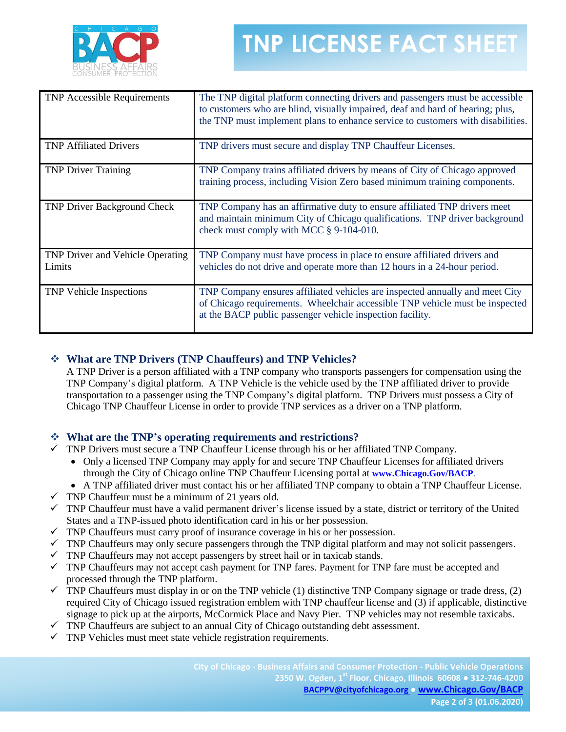

# **TNP LICENSE FACT SHEET**

| <b>TNP Accessible Requirements</b>                | The TNP digital platform connecting drivers and passengers must be accessible<br>to customers who are blind, visually impaired, deaf and hard of hearing; plus,<br>the TNP must implement plans to enhance service to customers with disabilities. |
|---------------------------------------------------|----------------------------------------------------------------------------------------------------------------------------------------------------------------------------------------------------------------------------------------------------|
| <b>TNP Affiliated Drivers</b>                     | TNP drivers must secure and display TNP Chauffeur Licenses.                                                                                                                                                                                        |
| <b>TNP Driver Training</b>                        | TNP Company trains affiliated drivers by means of City of Chicago approved<br>training process, including Vision Zero based minimum training components.                                                                                           |
| <b>TNP Driver Background Check</b>                | TNP Company has an affirmative duty to ensure affiliated TNP drivers meet<br>and maintain minimum City of Chicago qualifications. TNP driver background<br>check must comply with MCC § 9-104-010.                                                 |
| <b>TNP Driver and Vehicle Operating</b><br>Limits | TNP Company must have process in place to ensure affiliated drivers and<br>vehicles do not drive and operate more than 12 hours in a 24-hour period.                                                                                               |
| <b>TNP Vehicle Inspections</b>                    | TNP Company ensures affiliated vehicles are inspected annually and meet City<br>of Chicago requirements. Wheelchair accessible TNP vehicle must be inspected<br>at the BACP public passenger vehicle inspection facility.                          |

### **What are TNP Drivers (TNP Chauffeurs) and TNP Vehicles?**

A TNP Driver is a person affiliated with a TNP company who transports passengers for compensation using the TNP Company's digital platform. A TNP Vehicle is the vehicle used by the TNP affiliated driver to provide transportation to a passenger using the TNP Company's digital platform. TNP Drivers must possess a City of Chicago TNP Chauffeur License in order to provide TNP services as a driver on a TNP platform.

### **What are the TNP's operating requirements and restrictions?**

- $\checkmark$  TNP Drivers must secure a TNP Chauffeur License through his or her affiliated TNP Company.
	- Only a licensed TNP Company may apply for and secure TNP Chauffeur Licenses for affiliated drivers through the City of Chicago online TNP Chauffeur Licensing portal at **[www.Chicago.Gov/BACP.](http://www.chicago.gov/BACP)**
	- A TNP affiliated driver must contact his or her affiliated TNP company to obtain a TNP Chauffeur License.
- $\checkmark$  TNP Chauffeur must be a minimum of 21 years old.
- $\checkmark$  TNP Chauffeur must have a valid permanent driver's license issued by a state, district or territory of the United States and a TNP-issued photo identification card in his or her possession.
- $\checkmark$  TNP Chauffeurs must carry proof of insurance coverage in his or her possession.
- $\checkmark$  TNP Chauffeurs may only secure passengers through the TNP digital platform and may not solicit passengers.
- $\checkmark$  TNP Chauffeurs may not accept passengers by street hail or in taxicab stands.
- $\checkmark$  TNP Chauffeurs may not accept cash payment for TNP fares. Payment for TNP fare must be accepted and processed through the TNP platform.
- $\checkmark$  TNP Chauffeurs must display in or on the TNP vehicle (1) distinctive TNP Company signage or trade dress, (2) required City of Chicago issued registration emblem with TNP chauffeur license and (3) if applicable, distinctive signage to pick up at the airports, McCormick Place and Navy Pier. TNP vehicles may not resemble taxicabs.
- $\checkmark$  TNP Chauffeurs are subject to an annual City of Chicago outstanding debt assessment.
- $\checkmark$  TNP Vehicles must meet state vehicle registration requirements.